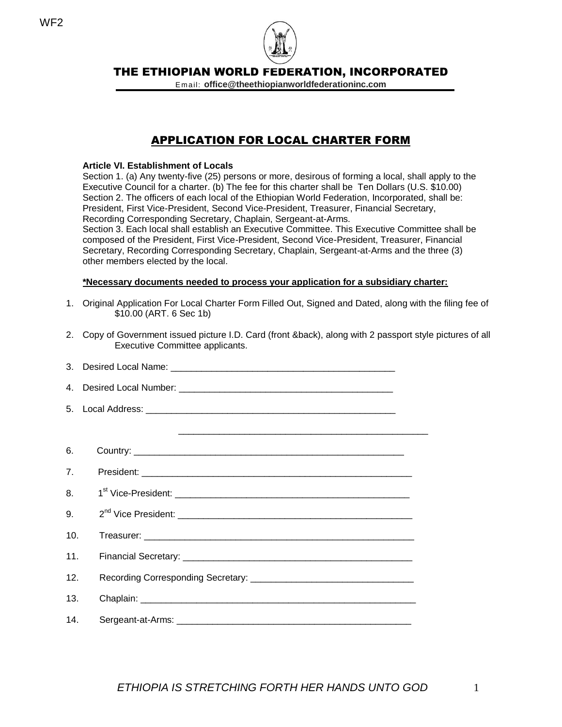

Em ail: **office@theethiopianworldfederationinc.com**

# APPLICATION FOR LOCAL CHARTER FORM

#### **Article VI. Establishment of Locals**

Section 1. (a) Any twenty-five (25) persons or more, desirous of forming a local, shall apply to the Executive Council for a charter. (b) The fee for this charter shall be Ten Dollars (U.S. \$10.00) Section 2. The officers of each local of the Ethiopian World Federation, Incorporated, shall be: President, First Vice-President, Second Vice-President, Treasurer, Financial Secretary, Recording Corresponding Secretary, Chaplain, Sergeant-at-Arms.

Section 3. Each local shall establish an Executive Committee. This Executive Committee shall be composed of the President, First Vice-President, Second Vice-President, Treasurer, Financial Secretary, Recording Corresponding Secretary, Chaplain, Sergeant-at-Arms and the three (3) other members elected by the local.

#### **\*Necessary documents needed to process your application for a subsidiary charter:**

- 1. Original Application For Local Charter Form Filled Out, Signed and Dated, along with the filing fee of \$10.00 (ART. 6 Sec 1b)
- 2. Copy of Government issued picture I.D. Card (front &back), along with 2 passport style pictures of all Executive Committee applicants.

| $4_{\cdot}$    |  |
|----------------|--|
|                |  |
|                |  |
| 6.             |  |
| 7 <sub>1</sub> |  |
| 8.             |  |
| 9.             |  |
| 10.            |  |
| 11.            |  |
| 12.            |  |
| 13.            |  |
| 14.            |  |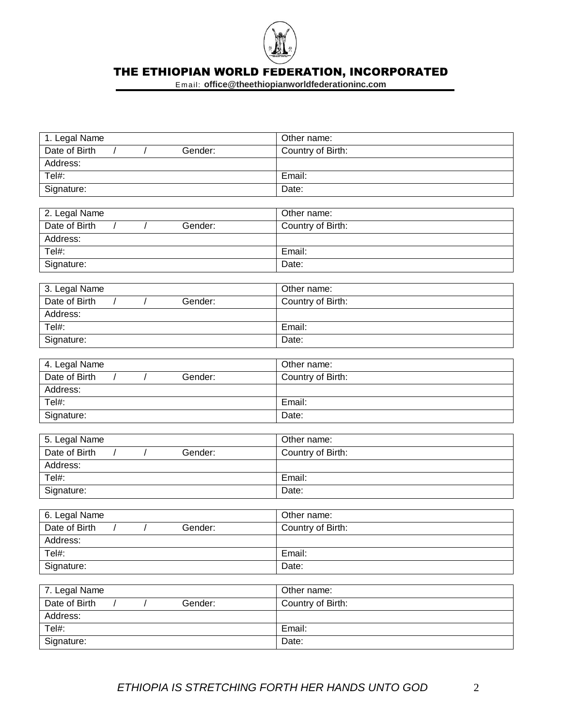

| 1. Legal Name                                        | Other name:       |
|------------------------------------------------------|-------------------|
| Date of Birth<br>Gender:<br>$\prime$                 | Country of Birth: |
| Address:                                             |                   |
| Tel#:                                                | Email:            |
| Signature:                                           | Date:             |
|                                                      |                   |
| 2. Legal Name                                        | Other name:       |
| Date of Birth<br>Gender:                             | Country of Birth: |
| Address:                                             |                   |
| Tel#:                                                | Email:            |
| Signature:                                           | Date:             |
|                                                      |                   |
| 3. Legal Name                                        | Other name:       |
| Date of Birth<br>Gender:                             | Country of Birth: |
| Address:                                             |                   |
| Tel#:                                                | Email:            |
| Signature:                                           | Date:             |
|                                                      |                   |
| 4. Legal Name                                        | Other name:       |
| Date of Birth<br>Gender:<br>$\sqrt{2}$<br>$\prime$   | Country of Birth: |
| Address:                                             |                   |
| Tel#:                                                | Email:            |
| Signature:                                           | Date:             |
|                                                      |                   |
| 5. Legal Name                                        | Other name:       |
| Date of Birth<br>Gender:                             | Country of Birth: |
| Address:                                             |                   |
| Tel#:                                                | Email:            |
| Signature:                                           | Date:             |
|                                                      |                   |
| 6. Legal Name                                        | Other name:       |
| Date of Birth<br>Gender:                             | Country of Birth: |
| Address:                                             |                   |
| Tel#:                                                | Email:            |
| Signature:                                           | Date:             |
|                                                      |                   |
| 7. Legal Name                                        | Other name:       |
| Date of Birth<br>Gender:<br>$\sqrt{2}$<br>$\sqrt{2}$ | Country of Birth: |
| Address:                                             |                   |
| Tel#:                                                | Email:            |
| Signature:                                           | Date:             |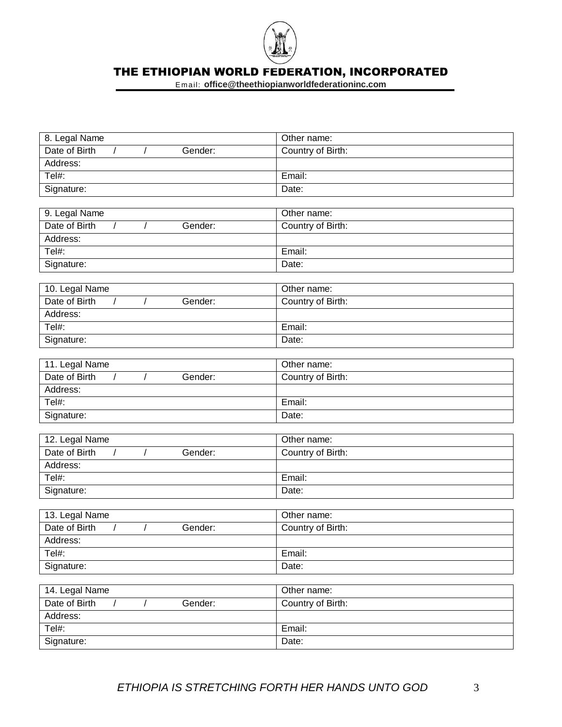

| 8. Legal Name                                        | Other name:       |
|------------------------------------------------------|-------------------|
| Date of Birth<br>Gender:<br>$\prime$                 | Country of Birth: |
| Address:                                             |                   |
| Tel#:                                                | Email:            |
| Signature:                                           | Date:             |
|                                                      |                   |
| 9. Legal Name                                        | Other name:       |
| Date of Birth<br>Gender:                             | Country of Birth: |
| Address:                                             |                   |
| Tel#:                                                | Email:            |
| Signature:                                           | Date:             |
|                                                      |                   |
| 10. Legal Name                                       | Other name:       |
| Date of Birth<br>$\prime$<br>Gender:                 | Country of Birth: |
| Address:                                             |                   |
| Tel#:                                                | Email:            |
| Signature:                                           | Date:             |
|                                                      |                   |
| 11. Legal Name                                       | Other name:       |
| Date of Birth<br>$\sqrt{2}$<br>Gender:<br>$\sqrt{2}$ | Country of Birth: |
| Address:                                             |                   |
| Tel#:                                                | Email:            |
| Signature:                                           | Date:             |
|                                                      |                   |
| 12. Legal Name                                       | Other name:       |
| Date of Birth<br>Gender:                             | Country of Birth: |
| Address:                                             |                   |
| Tel#:                                                | Email:            |
| Signature:                                           | Date:             |
|                                                      |                   |
| 13. Legal Name                                       | Other name:       |
| Date of Birth<br>Gender:<br>$\prime$                 | Country of Birth: |
| Address:                                             |                   |
| Tel#:                                                | Email:            |
| Signature:                                           | Date:             |
|                                                      |                   |
| 14. Legal Name                                       | Other name:       |
| Date of Birth<br>Gender:<br>$\sqrt{2}$<br>$\prime$   | Country of Birth: |
| Address:                                             |                   |
| $\overline{\text{Tel}}$ #:                           | Email:            |
| Signature:                                           | Date:             |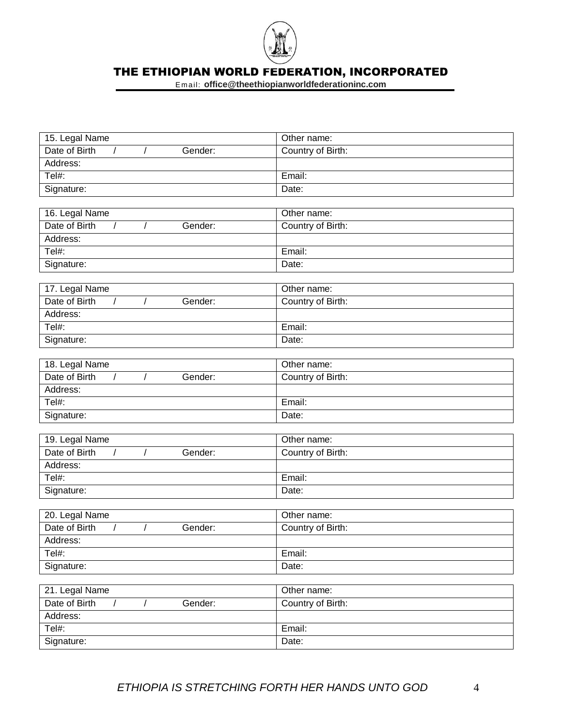

| 15. Legal Name                                       | Other name:       |
|------------------------------------------------------|-------------------|
| Date of Birth<br>Gender:<br>$\prime$                 | Country of Birth: |
| Address:                                             |                   |
| Tel#:                                                | Email:            |
| Signature:                                           | Date:             |
|                                                      |                   |
| 16. Legal Name                                       | Other name:       |
| Date of Birth<br>Gender:                             | Country of Birth: |
| Address:                                             |                   |
| Tel#:                                                | Email:            |
| Signature:                                           | Date:             |
|                                                      |                   |
| 17. Legal Name                                       | Other name:       |
| Date of Birth<br>$\prime$<br>Gender:                 | Country of Birth: |
| Address:                                             |                   |
| Tel#:                                                | Email:            |
| Signature:                                           | Date:             |
|                                                      |                   |
| 18. Legal Name                                       | Other name:       |
| Date of Birth<br>$\sqrt{2}$<br>Gender:<br>$\sqrt{2}$ | Country of Birth: |
| Address:                                             |                   |
| Tel#:                                                | Email:            |
| Signature:                                           | Date:             |
|                                                      |                   |
| 19. Legal Name                                       | Other name:       |
| Date of Birth<br>Gender:                             | Country of Birth: |
| Address:                                             |                   |
| Tel#:                                                | Email:            |
| Signature:                                           | Date:             |
|                                                      |                   |
| 20. Legal Name                                       | Other name:       |
| Date of Birth<br>Gender:<br>$\prime$                 | Country of Birth: |
| Address:                                             |                   |
| Tel#:                                                | Email:            |
| Signature:                                           | Date:             |
|                                                      |                   |
| 21. Legal Name                                       | Other name:       |
| Date of Birth<br>Gender:<br>$\sqrt{2}$<br>$\sqrt{2}$ | Country of Birth: |
| Address:                                             |                   |
| Tel#:                                                | Email:            |
| Signature:                                           | Date:             |